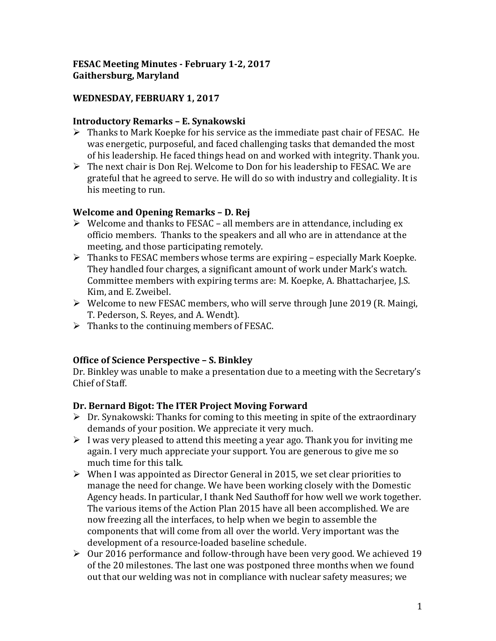### **FESAC Meeting Minutes - February 1-2, 2017 Gaithersburg, Maryland**

### **WEDNESDAY, FEBRUARY 1, 2017**

#### **Introductory Remarks – E. Synakowski**

- $\triangleright$  Thanks to Mark Koepke for his service as the immediate past chair of FESAC. He was energetic, purposeful, and faced challenging tasks that demanded the most of his leadership. He faced things head on and worked with integrity. Thank you.
- $\triangleright$  The next chair is Don Rej. Welcome to Don for his leadership to FESAC. We are grateful that he agreed to serve. He will do so with industry and collegiality. It is his meeting to run.

### **Welcome and Opening Remarks – D. Rej**

- $\triangleright$  Welcome and thanks to FESAC all members are in attendance, including ex officio members. Thanks to the speakers and all who are in attendance at the meeting, and those participating remotely.
- $\triangleright$  Thanks to FESAC members whose terms are expiring especially Mark Koepke. They handled four charges, a significant amount of work under Mark's watch. Committee members with expiring terms are: M. Koepke, A. Bhattacharjee, J.S. Kim, and E. Zweibel.
- $\triangleright$  Welcome to new FESAC members, who will serve through June 2019 (R. Maingi, T. Pederson, S. Reyes, and A. Wendt).
- $\triangleright$  Thanks to the continuing members of FESAC.

### **Office of Science Perspective – S. Binkley**

Dr. Binkley was unable to make a presentation due to a meeting with the Secretary's Chief of Staff.

### **Dr. Bernard Bigot: The ITER Project Moving Forward**

- $\triangleright$  Dr. Synakowski: Thanks for coming to this meeting in spite of the extraordinary demands of your position. We appreciate it very much.
- $\triangleright$  I was very pleased to attend this meeting a year ago. Thank you for inviting me again. I very much appreciate your support. You are generous to give me so much time for this talk.
- $\triangleright$  When I was appointed as Director General in 2015, we set clear priorities to manage the need for change. We have been working closely with the Domestic Agency heads. In particular, I thank Ned Sauthoff for how well we work together. The various items of the Action Plan 2015 have all been accomplished. We are now freezing all the interfaces, to help when we begin to assemble the components that will come from all over the world. Very important was the development of a resource-loaded baseline schedule.
- $\geq 0$ ur 2016 performance and follow-through have been very good. We achieved 19 of the 20 milestones. The last one was postponed three months when we found out that our welding was not in compliance with nuclear safety measures; we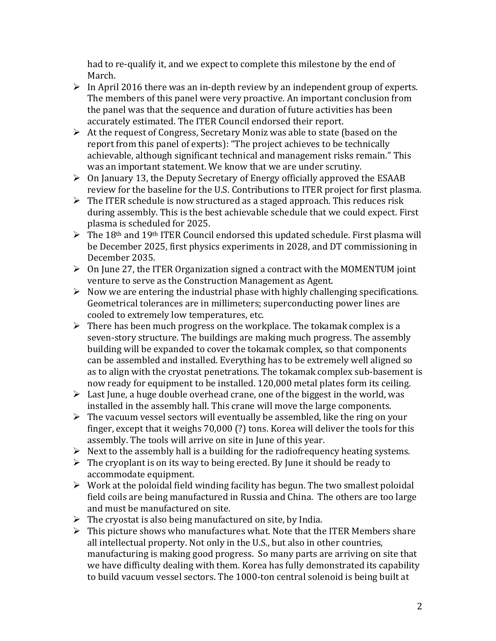had to re-qualify it, and we expect to complete this milestone by the end of March.

- $\triangleright$  In April 2016 there was an in-depth review by an independent group of experts. The members of this panel were very proactive. An important conclusion from the panel was that the sequence and duration of future activities has been accurately estimated. The ITER Council endorsed their report.
- $\triangleright$  At the request of Congress, Secretary Moniz was able to state (based on the report from this panel of experts): "The project achieves to be technically achievable, although significant technical and management risks remain." This was an important statement. We know that we are under scrutiny.
- $\triangleright$  On January 13, the Deputy Secretary of Energy officially approved the ESAAB review for the baseline for the U.S. Contributions to ITER project for first plasma.
- $\triangleright$  The ITER schedule is now structured as a staged approach. This reduces risk during assembly. This is the best achievable schedule that we could expect. First plasma is scheduled for 2025.
- $\triangleright$  The 18<sup>th</sup> and 19<sup>th</sup> ITER Council endorsed this updated schedule. First plasma will be December 2025, first physics experiments in 2028, and DT commissioning in December 2035.
- $\triangleright$  On June 27, the ITER Organization signed a contract with the MOMENTUM joint venture to serve as the Construction Management as Agent.
- $\triangleright$  Now we are entering the industrial phase with highly challenging specifications. Geometrical tolerances are in millimeters; superconducting power lines are cooled to extremely low temperatures, etc.
- $\triangleright$  There has been much progress on the workplace. The tokamak complex is a seven-story structure. The buildings are making much progress. The assembly building will be expanded to cover the tokamak complex, so that components can be assembled and installed. Everything has to be extremely well aligned so as to align with the cryostat penetrations. The tokamak complex sub-basement is now ready for equipment to be installed. 120,000 metal plates form its ceiling.
- $\triangleright$  Last June, a huge double overhead crane, one of the biggest in the world, was installed in the assembly hall. This crane will move the large components.
- $\triangleright$  The vacuum vessel sectors will eventually be assembled, like the ring on your finger, except that it weighs 70,000 (?) tons. Korea will deliver the tools for this assembly. The tools will arrive on site in June of this year.
- $\triangleright$  Next to the assembly hall is a building for the radiofrequency heating systems.
- $\triangleright$  The cryoplant is on its way to being erected. By June it should be ready to accommodate equipment.
- $\triangleright$  Work at the poloidal field winding facility has begun. The two smallest poloidal field coils are being manufactured in Russia and China. The others are too large and must be manufactured on site.
- $\triangleright$  The cryostat is also being manufactured on site, by India.
- $\triangleright$  This picture shows who manufactures what. Note that the ITER Members share all intellectual property. Not only in the U.S., but also in other countries, manufacturing is making good progress. So many parts are arriving on site that we have difficulty dealing with them. Korea has fully demonstrated its capability to build vacuum vessel sectors. The 1000-ton central solenoid is being built at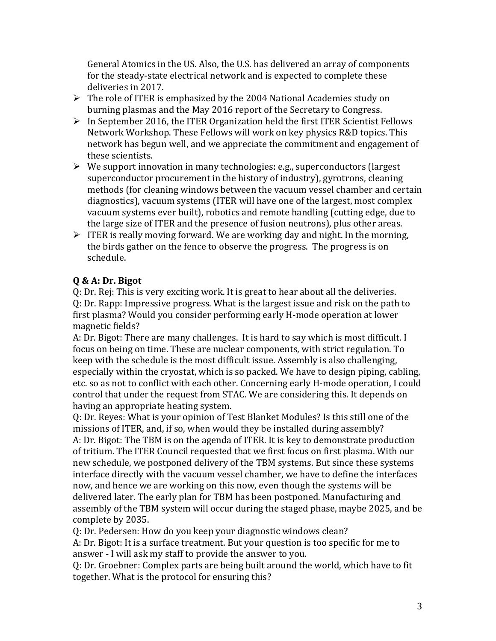General Atomics in the US. Also, the U.S. has delivered an array of components for the steady-state electrical network and is expected to complete these deliveries in 2017.

- The role of ITER is emphasized by the 2004 National Academies study on burning plasmas and the May 2016 report of the Secretary to Congress.
- $\triangleright$  In September 2016, the ITER Organization held the first ITER Scientist Fellows Network Workshop. These Fellows will work on key physics R&D topics. This network has begun well, and we appreciate the commitment and engagement of these scientists.
- $\triangleright$  We support innovation in many technologies: e.g., superconductors (largest superconductor procurement in the history of industry), gyrotrons, cleaning methods (for cleaning windows between the vacuum vessel chamber and certain diagnostics), vacuum systems (ITER will have one of the largest, most complex vacuum systems ever built), robotics and remote handling (cutting edge, due to the large size of ITER and the presence of fusion neutrons), plus other areas.
- $\triangleright$  ITER is really moving forward. We are working day and night. In the morning, the birds gather on the fence to observe the progress. The progress is on schedule.

# **Q & A: Dr. Bigot**

Q: Dr. Rej: This is very exciting work. It is great to hear about all the deliveries. Q: Dr. Rapp: Impressive progress. What is the largest issue and risk on the path to first plasma? Would you consider performing early H-mode operation at lower magnetic fields?

A: Dr. Bigot: There are many challenges. It is hard to say which is most difficult. I focus on being on time. These are nuclear components, with strict regulation. To keep with the schedule is the most difficult issue. Assembly is also challenging, especially within the cryostat, which is so packed. We have to design piping, cabling, etc. so as not to conflict with each other. Concerning early H-mode operation, I could control that under the request from STAC. We are considering this. It depends on having an appropriate heating system.

Q: Dr. Reyes: What is your opinion of Test Blanket Modules? Is this still one of the missions of ITER, and, if so, when would they be installed during assembly? A: Dr. Bigot: The TBM is on the agenda of ITER. It is key to demonstrate production of tritium. The ITER Council requested that we first focus on first plasma. With our new schedule, we postponed delivery of the TBM systems. But since these systems interface directly with the vacuum vessel chamber, we have to define the interfaces now, and hence we are working on this now, even though the systems will be delivered later. The early plan for TBM has been postponed. Manufacturing and assembly of the TBM system will occur during the staged phase, maybe 2025, and be complete by 2035.

Q: Dr. Pedersen: How do you keep your diagnostic windows clean?

A: Dr. Bigot: It is a surface treatment. But your question is too specific for me to answer - I will ask my staff to provide the answer to you.

Q: Dr. Groebner: Complex parts are being built around the world, which have to fit together. What is the protocol for ensuring this?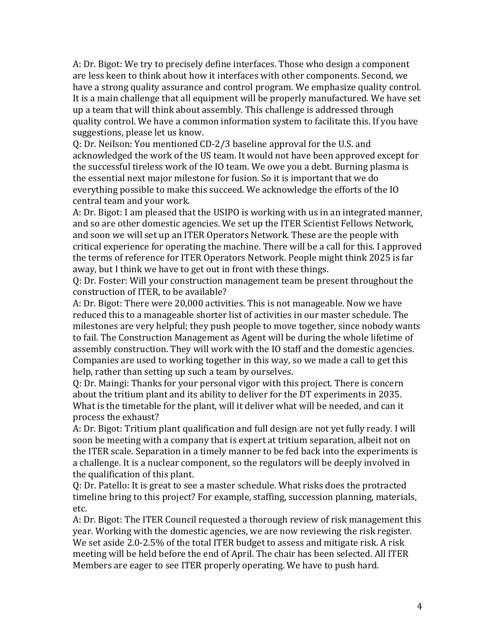A: Dr. Bigot: We try to precisely define interfaces. Those who design a component are less keen to think about how it interfaces with other components. Second, we have a strong quality assurance and control program. We emphasize quality control. It is a main challenge that all equipment will be properly manufactured. We have set up a team that will think about assembly. This challenge is addressed through quality control. We have a common information system to facilitate this. If you have suggestions, please let us know.

Q: Dr. Neilson: You mentioned CD-2/3 baseline approval for the U.S. and acknowledged the work of the US team. It would not have been approved except for the successful tireless work of the IO team. We owe you a debt. Burning plasma is the essential next major milestone for fusion. So it is important that we do everything possible to make this succeed. We acknowledge the efforts of the IO central team and your work.

A: Dr. Bigot: I am pleased that the USIPO is working with us in an integrated manner, and so are other domestic agencies. We set up the ITER Scientist Fellows Network, and soon we will set up an ITER Operators Network. These are the people with critical experience for operating the machine. There will be a call for this. I approved the terms of reference for ITER Operators Network. People might think 2025 is far away, but I think we have to get out in front with these things.

Q: Dr. Foster: Will your construction management team be present throughout the construction of ITER, to be available?

A: Dr. Bigot: There were 20,000 activities. This is not manageable. Now we have reduced this to a manageable shorter list of activities in our master schedule. The milestones are very helpful; they push people to move together, since nobody wants to fail. The Construction Management as Agent will be during the whole lifetime of assembly construction. They will work with the IO staff and the domestic agencies. Companies are used to working together in this way, so we made a call to get this help, rather than setting up such a team by ourselves.

Q: Dr. Maingi: Thanks for your personal vigor with this project. There is concern about the tritium plant and its ability to deliver for the DT experiments in 2035. What is the timetable for the plant, will it deliver what will be needed, and can it process the exhaust?

A: Dr. Bigot: Tritium plant qualification and full design are not yet fully ready. I will soon be meeting with a company that is expert at tritium separation, albeit not on the ITER scale. Separation in a timely manner to be fed back into the experiments is a challenge. It is a nuclear component, so the regulators will be deeply involved in the qualification of this plant.

Q: Dr. Patello: It is great to see a master schedule. What risks does the protracted timeline bring to this project? For example, staffing, succession planning, materials, etc.

A: Dr. Bigot: The ITER Council requested a thorough review of risk management this year. Working with the domestic agencies, we are now reviewing the risk register. We set aside 2.0-2.5% of the total ITER budget to assess and mitigate risk. A risk meeting will be held before the end of April. The chair has been selected. All ITER Members are eager to see ITER properly operating. We have to push hard.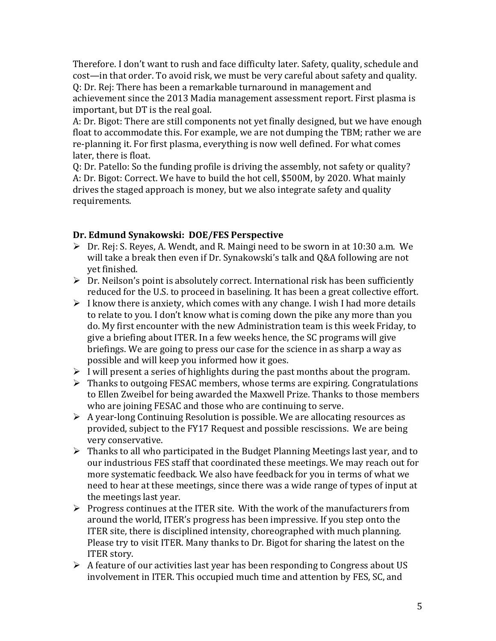Therefore. I don't want to rush and face difficulty later. Safety, quality, schedule and cost—in that order. To avoid risk, we must be very careful about safety and quality. Q: Dr. Rej: There has been a remarkable turnaround in management and achievement since the 2013 Madia management assessment report. First plasma is important, but DT is the real goal.

A: Dr. Bigot: There are still components not yet finally designed, but we have enough float to accommodate this. For example, we are not dumping the TBM; rather we are re-planning it. For first plasma, everything is now well defined. For what comes later, there is float.

Q: Dr. Patello: So the funding profile is driving the assembly, not safety or quality? A: Dr. Bigot: Correct. We have to build the hot cell, \$500M, by 2020. What mainly drives the staged approach is money, but we also integrate safety and quality requirements.

### **Dr. Edmund Synakowski: DOE/FES Perspective**

- Dr. Rej: S. Reyes, A. Wendt, and R. Maingi need to be sworn in at 10:30 a.m. We will take a break then even if Dr. Synakowski's talk and Q&A following are not yet finished.
- $\triangleright$  Dr. Neilson's point is absolutely correct. International risk has been sufficiently reduced for the U.S. to proceed in baselining. It has been a great collective effort.
- $\triangleright$  I know there is anxiety, which comes with any change. I wish I had more details to relate to you. I don't know what is coming down the pike any more than you do. My first encounter with the new Administration team is this week Friday, to give a briefing about ITER. In a few weeks hence, the SC programs will give briefings. We are going to press our case for the science in as sharp a way as possible and will keep you informed how it goes.
- $\triangleright$  I will present a series of highlights during the past months about the program.
- $\triangleright$  Thanks to outgoing FESAC members, whose terms are expiring. Congratulations to Ellen Zweibel for being awarded the Maxwell Prize. Thanks to those members who are joining FESAC and those who are continuing to serve.
- $\triangleright$  A year-long Continuing Resolution is possible. We are allocating resources as provided, subject to the FY17 Request and possible rescissions. We are being very conservative.
- $\triangleright$  Thanks to all who participated in the Budget Planning Meetings last year, and to our industrious FES staff that coordinated these meetings. We may reach out for more systematic feedback. We also have feedback for you in terms of what we need to hear at these meetings, since there was a wide range of types of input at the meetings last year.
- $\triangleright$  Progress continues at the ITER site. With the work of the manufacturers from around the world, ITER's progress has been impressive. If you step onto the ITER site, there is disciplined intensity, choreographed with much planning. Please try to visit ITER. Many thanks to Dr. Bigot for sharing the latest on the ITER story.
- $\triangleright$  A feature of our activities last year has been responding to Congress about US involvement in ITER. This occupied much time and attention by FES, SC, and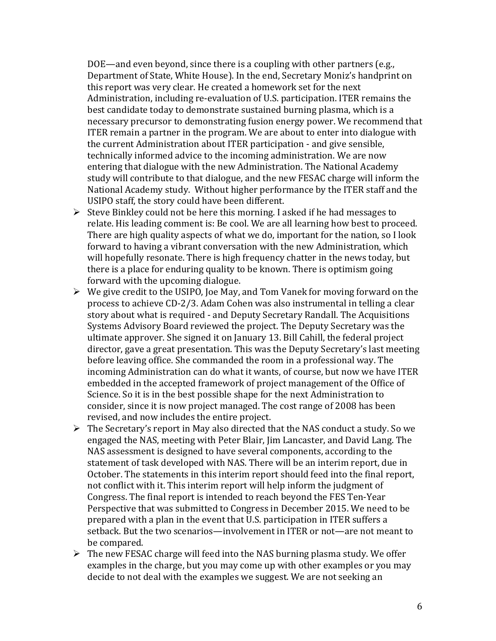DOE—and even beyond, since there is a coupling with other partners (e.g., Department of State, White House). In the end, Secretary Moniz's handprint on this report was very clear. He created a homework set for the next Administration, including re-evaluation of U.S. participation. ITER remains the best candidate today to demonstrate sustained burning plasma, which is a necessary precursor to demonstrating fusion energy power. We recommend that ITER remain a partner in the program. We are about to enter into dialogue with the current Administration about ITER participation - and give sensible, technically informed advice to the incoming administration. We are now entering that dialogue with the new Administration. The National Academy study will contribute to that dialogue, and the new FESAC charge will inform the National Academy study. Without higher performance by the ITER staff and the USIPO staff, the story could have been different.

- $\triangleright$  Steve Binkley could not be here this morning. I asked if he had messages to relate. His leading comment is: Be cool. We are all learning how best to proceed. There are high quality aspects of what we do, important for the nation, so I look forward to having a vibrant conversation with the new Administration, which will hopefully resonate. There is high frequency chatter in the news today, but there is a place for enduring quality to be known. There is optimism going forward with the upcoming dialogue.
- $\triangleright$  We give credit to the USIPO, Joe May, and Tom Vanek for moving forward on the process to achieve CD-2/3. Adam Cohen was also instrumental in telling a clear story about what is required - and Deputy Secretary Randall. The Acquisitions Systems Advisory Board reviewed the project. The Deputy Secretary was the ultimate approver. She signed it on January 13. Bill Cahill, the federal project director, gave a great presentation. This was the Deputy Secretary's last meeting before leaving office. She commanded the room in a professional way. The incoming Administration can do what it wants, of course, but now we have ITER embedded in the accepted framework of project management of the Office of Science. So it is in the best possible shape for the next Administration to consider, since it is now project managed. The cost range of 2008 has been revised, and now includes the entire project.
- The Secretary's report in May also directed that the NAS conduct a study. So we engaged the NAS, meeting with Peter Blair, Jim Lancaster, and David Lang. The NAS assessment is designed to have several components, according to the statement of task developed with NAS. There will be an interim report, due in October. The statements in this interim report should feed into the final report, not conflict with it. This interim report will help inform the judgment of Congress. The final report is intended to reach beyond the FES Ten-Year Perspective that was submitted to Congress in December 2015. We need to be prepared with a plan in the event that U.S. participation in ITER suffers a setback. But the two scenarios—involvement in ITER or not—are not meant to be compared.
- $\triangleright$  The new FESAC charge will feed into the NAS burning plasma study. We offer examples in the charge, but you may come up with other examples or you may decide to not deal with the examples we suggest. We are not seeking an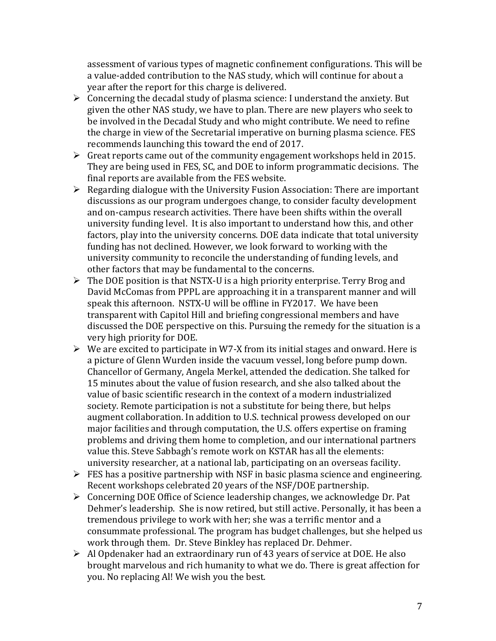assessment of various types of magnetic confinement configurations. This will be a value-added contribution to the NAS study, which will continue for about a year after the report for this charge is delivered.

- $\triangleright$  Concerning the decadal study of plasma science: I understand the anxiety. But given the other NAS study, we have to plan. There are new players who seek to be involved in the Decadal Study and who might contribute. We need to refine the charge in view of the Secretarial imperative on burning plasma science. FES recommends launching this toward the end of 2017.
- $\triangleright$  Great reports came out of the community engagement workshops held in 2015. They are being used in FES, SC, and DOE to inform programmatic decisions. The final reports are available from the FES website.
- $\triangleright$  Regarding dialogue with the University Fusion Association: There are important discussions as our program undergoes change, to consider faculty development and on-campus research activities. There have been shifts within the overall university funding level. It is also important to understand how this, and other factors, play into the university concerns. DOE data indicate that total university funding has not declined. However, we look forward to working with the university community to reconcile the understanding of funding levels, and other factors that may be fundamental to the concerns.
- $\triangleright$  The DOE position is that NSTX-U is a high priority enterprise. Terry Brog and David McComas from PPPL are approaching it in a transparent manner and will speak this afternoon. NSTX-U will be offline in FY2017. We have been transparent with Capitol Hill and briefing congressional members and have discussed the DOE perspective on this. Pursuing the remedy for the situation is a very high priority for DOE.
- $\triangleright$  We are excited to participate in W7-X from its initial stages and onward. Here is a picture of Glenn Wurden inside the vacuum vessel, long before pump down. Chancellor of Germany, Angela Merkel, attended the dedication. She talked for 15 minutes about the value of fusion research, and she also talked about the value of basic scientific research in the context of a modern industrialized society. Remote participation is not a substitute for being there, but helps augment collaboration. In addition to U.S. technical prowess developed on our major facilities and through computation, the U.S. offers expertise on framing problems and driving them home to completion, and our international partners value this. Steve Sabbagh's remote work on KSTAR has all the elements: university researcher, at a national lab, participating on an overseas facility.
- $\triangleright$  FES has a positive partnership with NSF in basic plasma science and engineering. Recent workshops celebrated 20 years of the NSF/DOE partnership.
- $\triangleright$  Concerning DOE Office of Science leadership changes, we acknowledge Dr. Pat Dehmer's leadership. She is now retired, but still active. Personally, it has been a tremendous privilege to work with her; she was a terrific mentor and a consummate professional. The program has budget challenges, but she helped us work through them. Dr. Steve Binkley has replaced Dr. Dehmer.
- $\triangleright$  Al Opdenaker had an extraordinary run of 43 years of service at DOE. He also brought marvelous and rich humanity to what we do. There is great affection for you. No replacing Al! We wish you the best.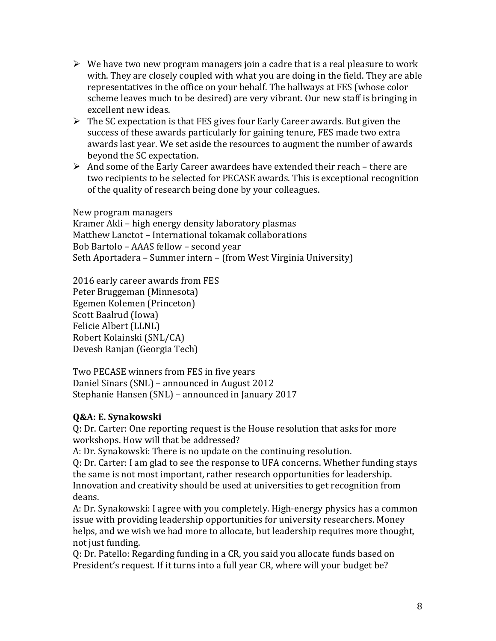- $\triangleright$  We have two new program managers join a cadre that is a real pleasure to work with. They are closely coupled with what you are doing in the field. They are able representatives in the office on your behalf. The hallways at FES (whose color scheme leaves much to be desired) are very vibrant. Our new staff is bringing in excellent new ideas.
- $\triangleright$  The SC expectation is that FES gives four Early Career awards. But given the success of these awards particularly for gaining tenure, FES made two extra awards last year. We set aside the resources to augment the number of awards beyond the SC expectation.
- $\triangleright$  And some of the Early Career awardees have extended their reach there are two recipients to be selected for PECASE awards. This is exceptional recognition of the quality of research being done by your colleagues.

New program managers Kramer Akli – high energy density laboratory plasmas Matthew Lanctot – International tokamak collaborations Bob Bartolo – AAAS fellow – second year Seth Aportadera – Summer intern – (from West Virginia University)

2016 early career awards from FES Peter Bruggeman (Minnesota) Egemen Kolemen (Princeton) Scott Baalrud (Iowa) Felicie Albert (LLNL) Robert Kolainski (SNL/CA) Devesh Ranjan (Georgia Tech)

Two PECASE winners from FES in five years Daniel Sinars (SNL) – announced in August 2012 Stephanie Hansen (SNL) – announced in January 2017

### **Q&A: E. Synakowski**

Q: Dr. Carter: One reporting request is the House resolution that asks for more workshops. How will that be addressed?

A: Dr. Synakowski: There is no update on the continuing resolution.

Q: Dr. Carter: I am glad to see the response to UFA concerns. Whether funding stays the same is not most important, rather research opportunities for leadership. Innovation and creativity should be used at universities to get recognition from deans.

A: Dr. Synakowski: I agree with you completely. High-energy physics has a common issue with providing leadership opportunities for university researchers. Money helps, and we wish we had more to allocate, but leadership requires more thought, not just funding.

Q: Dr. Patello: Regarding funding in a CR, you said you allocate funds based on President's request. If it turns into a full year CR, where will your budget be?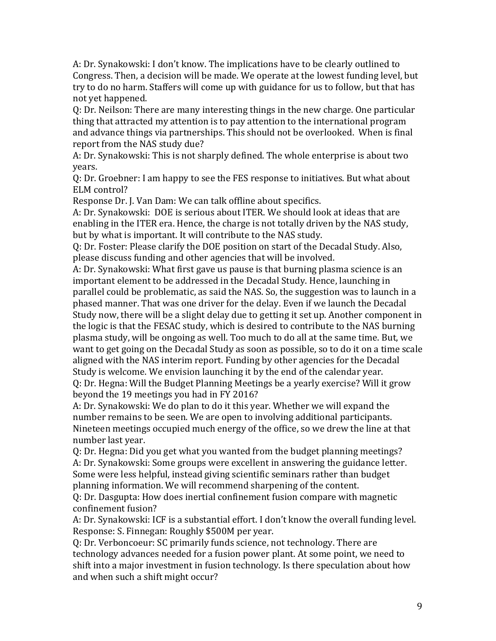A: Dr. Synakowski: I don't know. The implications have to be clearly outlined to Congress. Then, a decision will be made. We operate at the lowest funding level, but try to do no harm. Staffers will come up with guidance for us to follow, but that has not yet happened.

Q: Dr. Neilson: There are many interesting things in the new charge. One particular thing that attracted my attention is to pay attention to the international program and advance things via partnerships. This should not be overlooked. When is final report from the NAS study due?

A: Dr. Synakowski: This is not sharply defined. The whole enterprise is about two years.

Q: Dr. Groebner: I am happy to see the FES response to initiatives. But what about ELM control?

Response Dr. J. Van Dam: We can talk offline about specifics.

A: Dr. Synakowski: DOE is serious about ITER. We should look at ideas that are enabling in the ITER era. Hence, the charge is not totally driven by the NAS study, but by what is important. It will contribute to the NAS study.

Q: Dr. Foster: Please clarify the DOE position on start of the Decadal Study. Also, please discuss funding and other agencies that will be involved.

A: Dr. Synakowski: What first gave us pause is that burning plasma science is an important element to be addressed in the Decadal Study. Hence, launching in parallel could be problematic, as said the NAS. So, the suggestion was to launch in a phased manner. That was one driver for the delay. Even if we launch the Decadal Study now, there will be a slight delay due to getting it set up. Another component in the logic is that the FESAC study, which is desired to contribute to the NAS burning plasma study, will be ongoing as well. Too much to do all at the same time. But, we want to get going on the Decadal Study as soon as possible, so to do it on a time scale aligned with the NAS interim report. Funding by other agencies for the Decadal Study is welcome. We envision launching it by the end of the calendar year. Q: Dr. Hegna: Will the Budget Planning Meetings be a yearly exercise? Will it grow beyond the 19 meetings you had in FY 2016?

A: Dr. Synakowski: We do plan to do it this year. Whether we will expand the number remains to be seen. We are open to involving additional participants. Nineteen meetings occupied much energy of the office, so we drew the line at that number last year.

Q: Dr. Hegna: Did you get what you wanted from the budget planning meetings? A: Dr. Synakowski: Some groups were excellent in answering the guidance letter. Some were less helpful, instead giving scientific seminars rather than budget planning information. We will recommend sharpening of the content.

Q: Dr. Dasgupta: How does inertial confinement fusion compare with magnetic confinement fusion?

A: Dr. Synakowski: ICF is a substantial effort. I don't know the overall funding level. Response: S. Finnegan: Roughly \$500M per year.

Q: Dr. Verboncoeur: SC primarily funds science, not technology. There are technology advances needed for a fusion power plant. At some point, we need to shift into a major investment in fusion technology. Is there speculation about how and when such a shift might occur?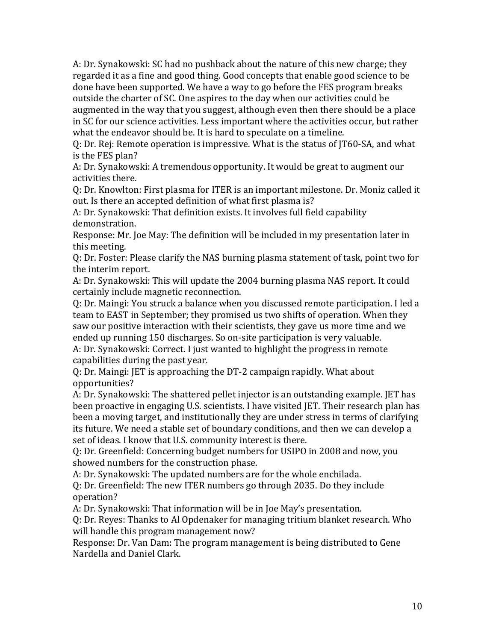A: Dr. Synakowski: SC had no pushback about the nature of this new charge; they regarded it as a fine and good thing. Good concepts that enable good science to be done have been supported. We have a way to go before the FES program breaks outside the charter of SC. One aspires to the day when our activities could be augmented in the way that you suggest, although even then there should be a place in SC for our science activities. Less important where the activities occur, but rather what the endeavor should be. It is hard to speculate on a timeline.

Q: Dr. Rej: Remote operation is impressive. What is the status of JT60-SA, and what is the FES plan?

A: Dr. Synakowski: A tremendous opportunity. It would be great to augment our activities there.

Q: Dr. Knowlton: First plasma for ITER is an important milestone. Dr. Moniz called it out. Is there an accepted definition of what first plasma is?

A: Dr. Synakowski: That definition exists. It involves full field capability demonstration.

Response: Mr. Joe May: The definition will be included in my presentation later in this meeting.

Q: Dr. Foster: Please clarify the NAS burning plasma statement of task, point two for the interim report.

A: Dr. Synakowski: This will update the 2004 burning plasma NAS report. It could certainly include magnetic reconnection.

Q: Dr. Maingi: You struck a balance when you discussed remote participation. I led a team to EAST in September; they promised us two shifts of operation. When they saw our positive interaction with their scientists, they gave us more time and we ended up running 150 discharges. So on-site participation is very valuable.

A: Dr. Synakowski: Correct. I just wanted to highlight the progress in remote capabilities during the past year.

Q: Dr. Maingi: JET is approaching the DT-2 campaign rapidly. What about opportunities?

A: Dr. Synakowski: The shattered pellet injector is an outstanding example. JET has been proactive in engaging U.S. scientists. I have visited JET. Their research plan has been a moving target, and institutionally they are under stress in terms of clarifying its future. We need a stable set of boundary conditions, and then we can develop a set of ideas. I know that U.S. community interest is there.

Q: Dr. Greenfield: Concerning budget numbers for USIPO in 2008 and now, you showed numbers for the construction phase.

A: Dr. Synakowski: The updated numbers are for the whole enchilada.

Q: Dr. Greenfield: The new ITER numbers go through 2035. Do they include operation?

A: Dr. Synakowski: That information will be in Joe May's presentation.

Q: Dr. Reyes: Thanks to Al Opdenaker for managing tritium blanket research. Who will handle this program management now?

Response: Dr. Van Dam: The program management is being distributed to Gene Nardella and Daniel Clark.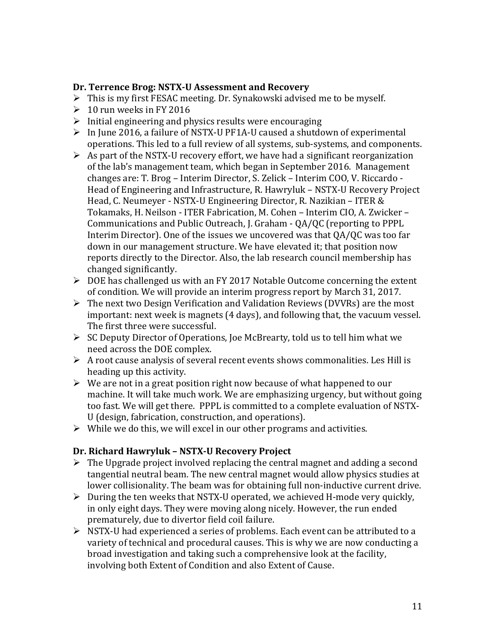#### **Dr. Terrence Brog: NSTX-U Assessment and Recovery**

- $\triangleright$  This is my first FESAC meeting. Dr. Synakowski advised me to be myself.
- $\geq 10$  run weeks in FY 2016
- $\triangleright$  Initial engineering and physics results were encouraging
- $\triangleright$  In June 2016, a failure of NSTX-U PF1A-U caused a shutdown of experimental operations. This led to a full review of all systems, sub-systems, and components.
- $\triangleright$  As part of the NSTX-U recovery effort, we have had a significant reorganization of the lab's management team, which began in September 2016. Management changes are: T. Brog – Interim Director, S. Zelick – Interim COO, V. Riccardo - Head of Engineering and Infrastructure, R. Hawryluk – NSTX-U Recovery Project Head, C. Neumeyer - NSTX-U Engineering Director, R. Nazikian – ITER & Tokamaks, H. Neilson - ITER Fabrication, M. Cohen – Interim CIO, A. Zwicker – Communications and Public Outreach, J. Graham - QA/QC (reporting to PPPL Interim Director). One of the issues we uncovered was that QA/QC was too far down in our management structure. We have elevated it; that position now reports directly to the Director. Also, the lab research council membership has changed significantly.
- $\triangleright$  DOE has challenged us with an FY 2017 Notable Outcome concerning the extent of condition. We will provide an interim progress report by March 31, 2017.
- The next two Design Verification and Validation Reviews (DVVRs) are the most important: next week is magnets (4 days), and following that, the vacuum vessel. The first three were successful.
- $\triangleright$  SC Deputy Director of Operations, Joe McBrearty, told us to tell him what we need across the DOE complex.
- $\triangleright$  A root cause analysis of several recent events shows commonalities. Les Hill is heading up this activity.
- $\triangleright$  We are not in a great position right now because of what happened to our machine. It will take much work. We are emphasizing urgency, but without going too fast. We will get there. PPPL is committed to a complete evaluation of NSTX-U (design, fabrication, construction, and operations).
- $\triangleright$  While we do this, we will excel in our other programs and activities.

### **Dr. Richard Hawryluk – NSTX-U Recovery Project**

- $\triangleright$  The Upgrade project involved replacing the central magnet and adding a second tangential neutral beam. The new central magnet would allow physics studies at lower collisionality. The beam was for obtaining full non-inductive current drive.
- $\triangleright$  During the ten weeks that NSTX-U operated, we achieved H-mode very quickly, in only eight days. They were moving along nicely. However, the run ended prematurely, due to divertor field coil failure.
- NSTX-U had experienced a series of problems. Each event can be attributed to a variety of technical and procedural causes. This is why we are now conducting a broad investigation and taking such a comprehensive look at the facility, involving both Extent of Condition and also Extent of Cause.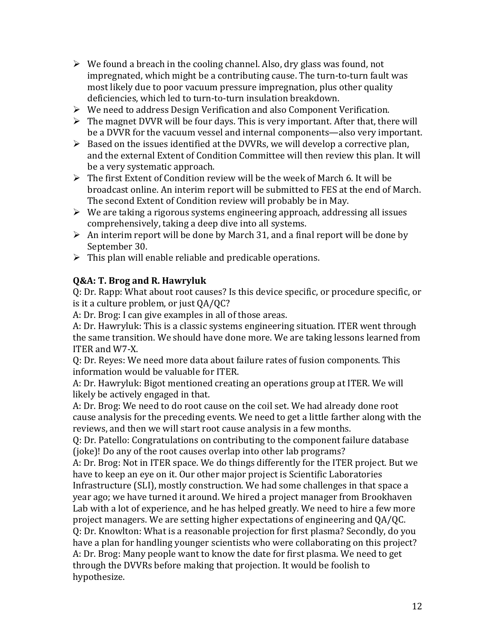- $\triangleright$  We found a breach in the cooling channel. Also, dry glass was found, not impregnated, which might be a contributing cause. The turn-to-turn fault was most likely due to poor vacuum pressure impregnation, plus other quality deficiencies, which led to turn-to-turn insulation breakdown.
- $\triangleright$  We need to address Design Verification and also Component Verification.
- $\triangleright$  The magnet DVVR will be four days. This is very important. After that, there will be a DVVR for the vacuum vessel and internal components—also very important.
- $\triangleright$  Based on the issues identified at the DVVRs, we will develop a corrective plan, and the external Extent of Condition Committee will then review this plan. It will be a very systematic approach.
- $\triangleright$  The first Extent of Condition review will be the week of March 6. It will be broadcast online. An interim report will be submitted to FES at the end of March. The second Extent of Condition review will probably be in May.
- $\triangleright$  We are taking a rigorous systems engineering approach, addressing all issues comprehensively, taking a deep dive into all systems.
- $\triangleright$  An interim report will be done by March 31, and a final report will be done by September 30.
- $\triangleright$  This plan will enable reliable and predicable operations.

### **Q&A: T. Brog and R. Hawryluk**

Q: Dr. Rapp: What about root causes? Is this device specific, or procedure specific, or is it a culture problem, or just QA/QC?

A: Dr. Brog: I can give examples in all of those areas.

A: Dr. Hawryluk: This is a classic systems engineering situation. ITER went through the same transition. We should have done more. We are taking lessons learned from ITER and W7-X.

Q: Dr. Reyes: We need more data about failure rates of fusion components. This information would be valuable for ITER.

A: Dr. Hawryluk: Bigot mentioned creating an operations group at ITER. We will likely be actively engaged in that.

A: Dr. Brog: We need to do root cause on the coil set. We had already done root cause analysis for the preceding events. We need to get a little farther along with the reviews, and then we will start root cause analysis in a few months.

Q: Dr. Patello: Congratulations on contributing to the component failure database (joke)! Do any of the root causes overlap into other lab programs?

A: Dr. Brog: Not in ITER space. We do things differently for the ITER project. But we have to keep an eye on it. Our other major project is Scientific Laboratories Infrastructure (SLI), mostly construction. We had some challenges in that space a year ago; we have turned it around. We hired a project manager from Brookhaven Lab with a lot of experience, and he has helped greatly. We need to hire a few more project managers. We are setting higher expectations of engineering and QA/QC. Q: Dr. Knowlton: What is a reasonable projection for first plasma? Secondly, do you have a plan for handling younger scientists who were collaborating on this project? A: Dr. Brog: Many people want to know the date for first plasma. We need to get through the DVVRs before making that projection. It would be foolish to hypothesize.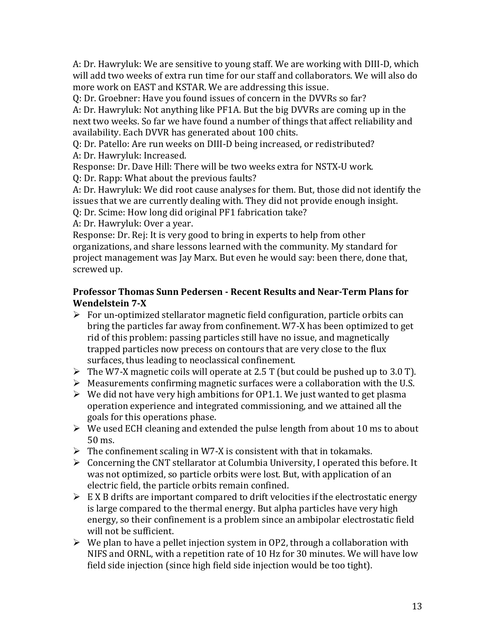A: Dr. Hawryluk: We are sensitive to young staff. We are working with DIII-D, which will add two weeks of extra run time for our staff and collaborators. We will also do more work on EAST and KSTAR. We are addressing this issue.

Q: Dr. Groebner: Have you found issues of concern in the DVVRs so far?

A: Dr. Hawryluk: Not anything like PF1A. But the big DVVRs are coming up in the next two weeks. So far we have found a number of things that affect reliability and availability. Each DVVR has generated about 100 chits.

Q: Dr. Patello: Are run weeks on DIII-D being increased, or redistributed? A: Dr. Hawryluk: Increased.

Response: Dr. Dave Hill: There will be two weeks extra for NSTX-U work.

Q: Dr. Rapp: What about the previous faults?

A: Dr. Hawryluk: We did root cause analyses for them. But, those did not identify the issues that we are currently dealing with. They did not provide enough insight.

Q: Dr. Scime: How long did original PF1 fabrication take?

A: Dr. Hawryluk: Over a year.

Response: Dr. Rej: It is very good to bring in experts to help from other organizations, and share lessons learned with the community. My standard for project management was Jay Marx. But even he would say: been there, done that, screwed up.

### **Professor Thomas Sunn Pedersen - Recent Results and Near-Term Plans for Wendelstein 7-X**

- $\triangleright$  For un-optimized stellarator magnetic field configuration, particle orbits can bring the particles far away from confinement. W7-X has been optimized to get rid of this problem: passing particles still have no issue, and magnetically trapped particles now precess on contours that are very close to the flux surfaces, thus leading to neoclassical confinement.
- $\triangleright$  The W7-X magnetic coils will operate at 2.5 T (but could be pushed up to 3.0 T).
- $\triangleright$  Measurements confirming magnetic surfaces were a collaboration with the U.S.
- $\triangleright$  We did not have very high ambitions for OP1.1. We just wanted to get plasma operation experience and integrated commissioning, and we attained all the goals for this operations phase.
- $\triangleright$  We used ECH cleaning and extended the pulse length from about 10 ms to about 50 ms.
- $\triangleright$  The confinement scaling in W7-X is consistent with that in tokamaks.
- $\triangleright$  Concerning the CNT stellarator at Columbia University, I operated this before. It was not optimized, so particle orbits were lost. But, with application of an electric field, the particle orbits remain confined.
- $\triangleright$  E X B drifts are important compared to drift velocities if the electrostatic energy is large compared to the thermal energy. But alpha particles have very high energy, so their confinement is a problem since an ambipolar electrostatic field will not be sufficient.
- $\triangleright$  We plan to have a pellet injection system in OP2, through a collaboration with NIFS and ORNL, with a repetition rate of 10 Hz for 30 minutes. We will have low field side injection (since high field side injection would be too tight).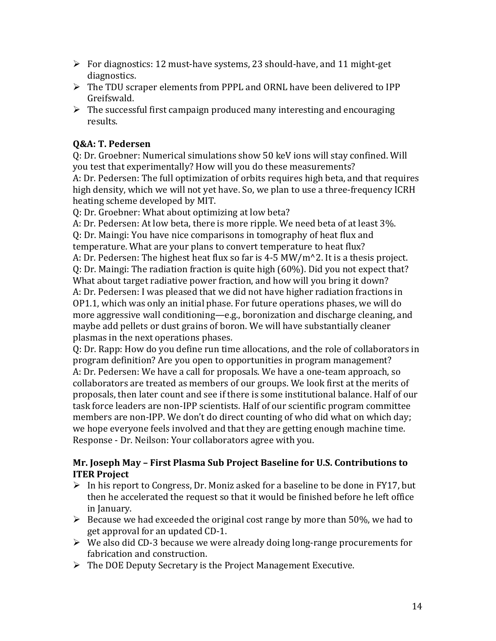- $\triangleright$  For diagnostics: 12 must-have systems, 23 should-have, and 11 might-get diagnostics.
- $\triangleright$  The TDU scraper elements from PPPL and ORNL have been delivered to IPP Greifswald.
- $\triangleright$  The successful first campaign produced many interesting and encouraging results.

# **Q&A: T. Pedersen**

Q: Dr. Groebner: Numerical simulations show 50 keV ions will stay confined. Will you test that experimentally? How will you do these measurements? A: Dr. Pedersen: The full optimization of orbits requires high beta, and that requires high density, which we will not yet have. So, we plan to use a three-frequency ICRH heating scheme developed by MIT.

Q: Dr. Groebner: What about optimizing at low beta?

A: Dr. Pedersen: At low beta, there is more ripple. We need beta of at least 3%.

Q: Dr. Maingi: You have nice comparisons in tomography of heat flux and temperature. What are your plans to convert temperature to heat flux? A: Dr. Pedersen: The highest heat flux so far is 4-5 MW/m^2. It is a thesis project. Q: Dr. Maingi: The radiation fraction is quite high (60%). Did you not expect that? What about target radiative power fraction, and how will you bring it down? A: Dr. Pedersen: I was pleased that we did not have higher radiation fractions in OP1.1, which was only an initial phase. For future operations phases, we will do more aggressive wall conditioning—e.g., boronization and discharge cleaning, and maybe add pellets or dust grains of boron. We will have substantially cleaner plasmas in the next operations phases.

Q: Dr. Rapp: How do you define run time allocations, and the role of collaborators in program definition? Are you open to opportunities in program management? A: Dr. Pedersen: We have a call for proposals. We have a one-team approach, so collaborators are treated as members of our groups. We look first at the merits of proposals, then later count and see if there is some institutional balance. Half of our task force leaders are non-IPP scientists. Half of our scientific program committee members are non-IPP. We don't do direct counting of who did what on which day; we hope everyone feels involved and that they are getting enough machine time. Response - Dr. Neilson: Your collaborators agree with you.

### **Mr. Joseph May – First Plasma Sub Project Baseline for U.S. Contributions to ITER Project**

- $\triangleright$  In his report to Congress, Dr. Moniz asked for a baseline to be done in FY17, but then he accelerated the request so that it would be finished before he left office in January.
- $\triangleright$  Because we had exceeded the original cost range by more than 50%, we had to get approval for an updated CD-1.
- $\triangleright$  We also did CD-3 because we were already doing long-range procurements for fabrication and construction.
- $\triangleright$  The DOE Deputy Secretary is the Project Management Executive.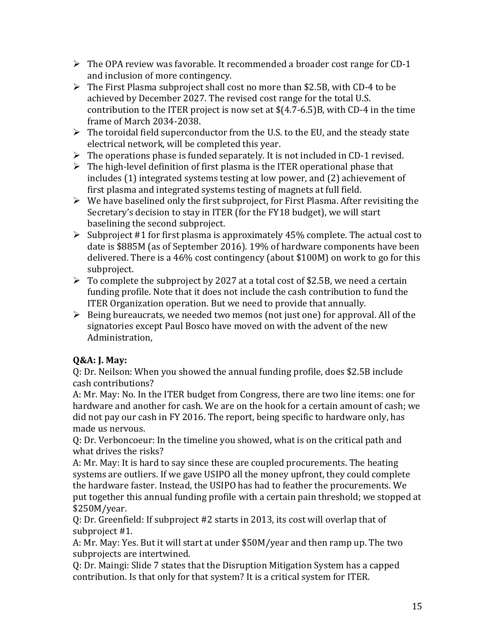- $\triangleright$  The OPA review was favorable. It recommended a broader cost range for CD-1 and inclusion of more contingency.
- $\triangleright$  The First Plasma subproject shall cost no more than \$2.5B, with CD-4 to be achieved by December 2027. The revised cost range for the total U.S. contribution to the ITER project is now set at \$(4.7-6.5)B, with CD-4 in the time frame of March 2034-2038.
- $\triangleright$  The toroidal field superconductor from the U.S. to the EU, and the steady state electrical network, will be completed this year.
- $\triangleright$  The operations phase is funded separately. It is not included in CD-1 revised.
- $\triangleright$  The high-level definition of first plasma is the ITER operational phase that includes (1) integrated systems testing at low power, and (2) achievement of first plasma and integrated systems testing of magnets at full field.
- $\triangleright$  We have baselined only the first subproject, for First Plasma. After revisiting the Secretary's decision to stay in ITER (for the FY18 budget), we will start baselining the second subproject.
- Subproject #1 for first plasma is approximately 45% complete. The actual cost to date is \$885M (as of September 2016). 19% of hardware components have been delivered. There is a 46% cost contingency (about \$100M) on work to go for this subproject.
- $\triangleright$  To complete the subproject by 2027 at a total cost of \$2.5B, we need a certain funding profile. Note that it does not include the cash contribution to fund the ITER Organization operation. But we need to provide that annually.
- $\triangleright$  Being bureaucrats, we needed two memos (not just one) for approval. All of the signatories except Paul Bosco have moved on with the advent of the new Administration,

# **Q&A: J. May:**

Q: Dr. Neilson: When you showed the annual funding profile, does \$2.5B include cash contributions?

A: Mr. May: No. In the ITER budget from Congress, there are two line items: one for hardware and another for cash. We are on the hook for a certain amount of cash; we did not pay our cash in FY 2016. The report, being specific to hardware only, has made us nervous.

Q: Dr. Verboncoeur: In the timeline you showed, what is on the critical path and what drives the risks?

A: Mr. May: It is hard to say since these are coupled procurements. The heating systems are outliers. If we gave USIPO all the money upfront, they could complete the hardware faster. Instead, the USIPO has had to feather the procurements. We put together this annual funding profile with a certain pain threshold; we stopped at \$250M/year.

Q: Dr. Greenfield: If subproject #2 starts in 2013, its cost will overlap that of subproject #1.

A: Mr. May: Yes. But it will start at under \$50M/year and then ramp up. The two subprojects are intertwined.

Q: Dr. Maingi: Slide 7 states that the Disruption Mitigation System has a capped contribution. Is that only for that system? It is a critical system for ITER.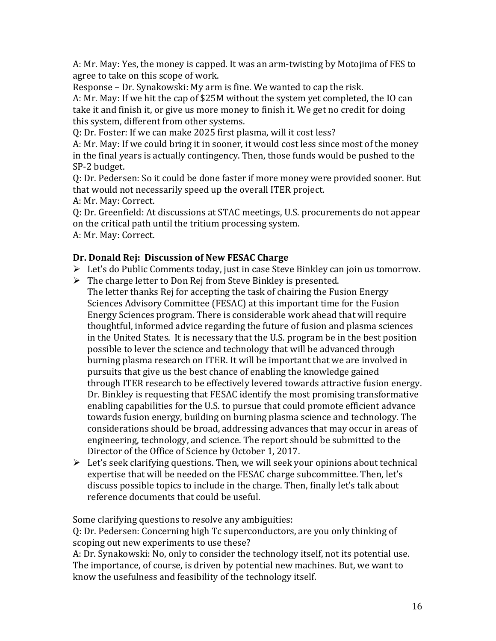A: Mr. May: Yes, the money is capped. It was an arm-twisting by Motojima of FES to agree to take on this scope of work.

Response – Dr. Synakowski: My arm is fine. We wanted to cap the risk.

A: Mr. May: If we hit the cap of \$25M without the system yet completed, the IO can take it and finish it, or give us more money to finish it. We get no credit for doing this system, different from other systems.

Q: Dr. Foster: If we can make 2025 first plasma, will it cost less?

A: Mr. May: If we could bring it in sooner, it would cost less since most of the money in the final years is actually contingency. Then, those funds would be pushed to the SP-2 budget.

Q: Dr. Pedersen: So it could be done faster if more money were provided sooner. But that would not necessarily speed up the overall ITER project.

A: Mr. May: Correct.

Q: Dr. Greenfield: At discussions at STAC meetings, U.S. procurements do not appear on the critical path until the tritium processing system. A: Mr. May: Correct.

### **Dr. Donald Rej: Discussion of New FESAC Charge**

- Eet's do Public Comments today, just in case Steve Binkley can join us tomorrow.
- $\triangleright$  The charge letter to Don Rej from Steve Binkley is presented. The letter thanks Rej for accepting the task of chairing the Fusion Energy Sciences Advisory Committee (FESAC) at this important time for the Fusion Energy Sciences program. There is considerable work ahead that will require thoughtful, informed advice regarding the future of fusion and plasma sciences in the United States. It is necessary that the U.S. program be in the best position possible to lever the science and technology that will be advanced through burning plasma research on ITER. It will be important that we are involved in pursuits that give us the best chance of enabling the knowledge gained through ITER research to be effectively levered towards attractive fusion energy. Dr. Binkley is requesting that FESAC identify the most promising transformative enabling capabilities for the U.S. to pursue that could promote efficient advance towards fusion energy, building on burning plasma science and technology. The considerations should be broad, addressing advances that may occur in areas of engineering, technology, and science. The report should be submitted to the Director of the Office of Science by October 1, 2017.
- $\triangleright$  Let's seek clarifying questions. Then, we will seek your opinions about technical expertise that will be needed on the FESAC charge subcommittee. Then, let's discuss possible topics to include in the charge. Then, finally let's talk about reference documents that could be useful.

Some clarifying questions to resolve any ambiguities:

Q: Dr. Pedersen: Concerning high Tc superconductors, are you only thinking of scoping out new experiments to use these?

A: Dr. Synakowski: No, only to consider the technology itself, not its potential use. The importance, of course, is driven by potential new machines. But, we want to know the usefulness and feasibility of the technology itself.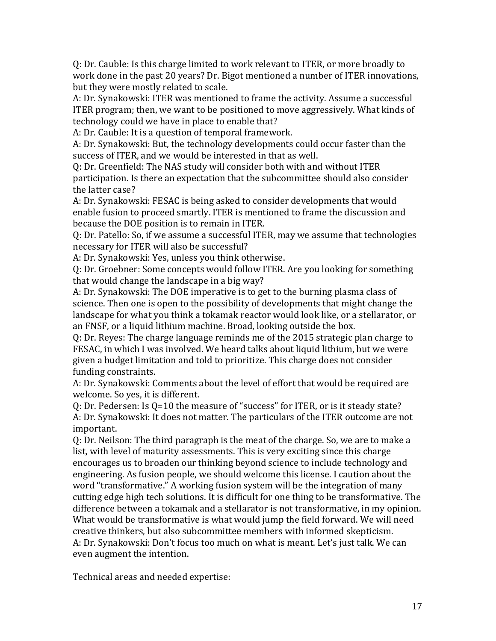Q: Dr. Cauble: Is this charge limited to work relevant to ITER, or more broadly to work done in the past 20 years? Dr. Bigot mentioned a number of ITER innovations, but they were mostly related to scale.

A: Dr. Synakowski: ITER was mentioned to frame the activity. Assume a successful ITER program; then, we want to be positioned to move aggressively. What kinds of technology could we have in place to enable that?

A: Dr. Cauble: It is a question of temporal framework.

A: Dr. Synakowski: But, the technology developments could occur faster than the success of ITER, and we would be interested in that as well.

Q: Dr. Greenfield: The NAS study will consider both with and without ITER participation. Is there an expectation that the subcommittee should also consider the latter case?

A: Dr. Synakowski: FESAC is being asked to consider developments that would enable fusion to proceed smartly. ITER is mentioned to frame the discussion and because the DOE position is to remain in ITER.

Q: Dr. Patello: So, if we assume a successful ITER, may we assume that technologies necessary for ITER will also be successful?

A: Dr. Synakowski: Yes, unless you think otherwise.

Q: Dr. Groebner: Some concepts would follow ITER. Are you looking for something that would change the landscape in a big way?

A: Dr. Synakowski: The DOE imperative is to get to the burning plasma class of science. Then one is open to the possibility of developments that might change the landscape for what you think a tokamak reactor would look like, or a stellarator, or an FNSF, or a liquid lithium machine. Broad, looking outside the box.

Q: Dr. Reyes: The charge language reminds me of the 2015 strategic plan charge to FESAC, in which I was involved. We heard talks about liquid lithium, but we were given a budget limitation and told to prioritize. This charge does not consider funding constraints.

A: Dr. Synakowski: Comments about the level of effort that would be required are welcome. So yes, it is different.

Q: Dr. Pedersen: Is Q=10 the measure of "success" for ITER, or is it steady state? A: Dr. Synakowski: It does not matter. The particulars of the ITER outcome are not important.

Q: Dr. Neilson: The third paragraph is the meat of the charge. So, we are to make a list, with level of maturity assessments. This is very exciting since this charge encourages us to broaden our thinking beyond science to include technology and engineering. As fusion people, we should welcome this license. I caution about the word "transformative." A working fusion system will be the integration of many cutting edge high tech solutions. It is difficult for one thing to be transformative. The difference between a tokamak and a stellarator is not transformative, in my opinion. What would be transformative is what would jump the field forward. We will need creative thinkers, but also subcommittee members with informed skepticism. A: Dr. Synakowski: Don't focus too much on what is meant. Let's just talk. We can even augment the intention.

Technical areas and needed expertise: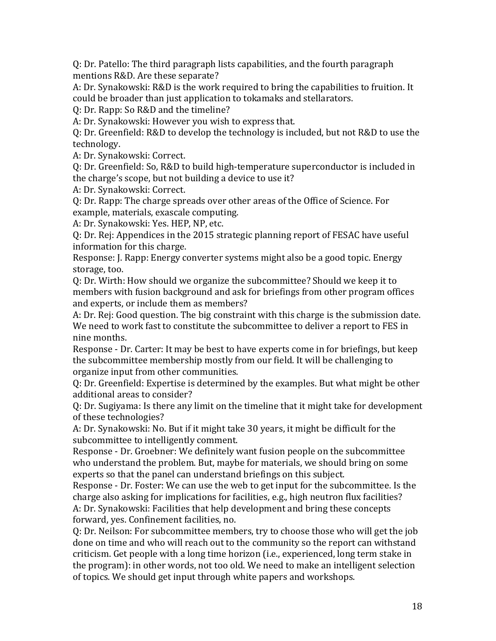Q: Dr. Patello: The third paragraph lists capabilities, and the fourth paragraph mentions R&D. Are these separate?

A: Dr. Synakowski: R&D is the work required to bring the capabilities to fruition. It could be broader than just application to tokamaks and stellarators.

Q: Dr. Rapp: So R&D and the timeline?

A: Dr. Synakowski: However you wish to express that.

Q: Dr. Greenfield: R&D to develop the technology is included, but not R&D to use the technology.

A: Dr. Synakowski: Correct.

Q: Dr. Greenfield: So, R&D to build high-temperature superconductor is included in the charge's scope, but not building a device to use it?

A: Dr. Synakowski: Correct.

Q: Dr. Rapp: The charge spreads over other areas of the Office of Science. For example, materials, exascale computing.

A: Dr. Synakowski: Yes. HEP, NP, etc.

Q: Dr. Rej: Appendices in the 2015 strategic planning report of FESAC have useful information for this charge.

Response: J. Rapp: Energy converter systems might also be a good topic. Energy storage, too.

Q: Dr. Wirth: How should we organize the subcommittee? Should we keep it to members with fusion background and ask for briefings from other program offices and experts, or include them as members?

A: Dr. Rej: Good question. The big constraint with this charge is the submission date. We need to work fast to constitute the subcommittee to deliver a report to FES in nine months.

Response - Dr. Carter: It may be best to have experts come in for briefings, but keep the subcommittee membership mostly from our field. It will be challenging to organize input from other communities.

Q: Dr. Greenfield: Expertise is determined by the examples. But what might be other additional areas to consider?

Q: Dr. Sugiyama: Is there any limit on the timeline that it might take for development of these technologies?

A: Dr. Synakowski: No. But if it might take 30 years, it might be difficult for the subcommittee to intelligently comment.

Response - Dr. Groebner: We definitely want fusion people on the subcommittee who understand the problem. But, maybe for materials, we should bring on some experts so that the panel can understand briefings on this subject.

Response - Dr. Foster: We can use the web to get input for the subcommittee. Is the charge also asking for implications for facilities, e.g., high neutron flux facilities? A: Dr. Synakowski: Facilities that help development and bring these concepts forward, yes. Confinement facilities, no.

Q: Dr. Neilson: For subcommittee members, try to choose those who will get the job done on time and who will reach out to the community so the report can withstand criticism. Get people with a long time horizon (i.e., experienced, long term stake in the program): in other words, not too old. We need to make an intelligent selection of topics. We should get input through white papers and workshops.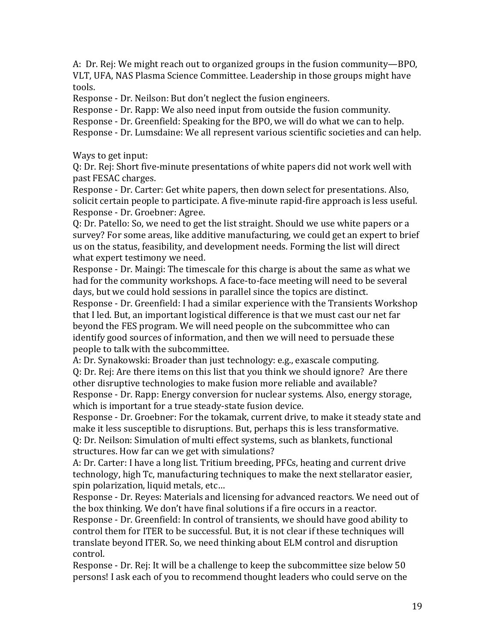A: Dr. Rej: We might reach out to organized groups in the fusion community—BPO, VLT, UFA, NAS Plasma Science Committee. Leadership in those groups might have tools.

Response - Dr. Neilson: But don't neglect the fusion engineers.

Response - Dr. Rapp: We also need input from outside the fusion community.

Response - Dr. Greenfield: Speaking for the BPO, we will do what we can to help.

Response - Dr. Lumsdaine: We all represent various scientific societies and can help.

Ways to get input:

Q: Dr. Rej: Short five-minute presentations of white papers did not work well with past FESAC charges.

Response - Dr. Carter: Get white papers, then down select for presentations. Also, solicit certain people to participate. A five-minute rapid-fire approach is less useful. Response - Dr. Groebner: Agree.

Q: Dr. Patello: So, we need to get the list straight. Should we use white papers or a survey? For some areas, like additive manufacturing, we could get an expert to brief us on the status, feasibility, and development needs. Forming the list will direct what expert testimony we need.

Response - Dr. Maingi: The timescale for this charge is about the same as what we had for the community workshops. A face-to-face meeting will need to be several days, but we could hold sessions in parallel since the topics are distinct. Response - Dr. Greenfield: I had a similar experience with the Transients Workshop that I led. But, an important logistical difference is that we must cast our net far beyond the FES program. We will need people on the subcommittee who can identify good sources of information, and then we will need to persuade these people to talk with the subcommittee.

A: Dr. Synakowski: Broader than just technology: e.g., exascale computing. Q: Dr. Rej: Are there items on this list that you think we should ignore? Are there other disruptive technologies to make fusion more reliable and available? Response - Dr. Rapp: Energy conversion for nuclear systems. Also, energy storage, which is important for a true steady-state fusion device.

Response - Dr. Groebner: For the tokamak, current drive, to make it steady state and make it less susceptible to disruptions. But, perhaps this is less transformative. Q: Dr. Neilson: Simulation of multi effect systems, such as blankets, functional structures. How far can we get with simulations?

A: Dr. Carter: I have a long list. Tritium breeding, PFCs, heating and current drive technology, high Tc, manufacturing techniques to make the next stellarator easier, spin polarization, liquid metals, etc…

Response - Dr. Reyes: Materials and licensing for advanced reactors. We need out of the box thinking. We don't have final solutions if a fire occurs in a reactor.

Response - Dr. Greenfield: In control of transients, we should have good ability to control them for ITER to be successful. But, it is not clear if these techniques will translate beyond ITER. So, we need thinking about ELM control and disruption control.

Response - Dr. Rej: It will be a challenge to keep the subcommittee size below 50 persons! I ask each of you to recommend thought leaders who could serve on the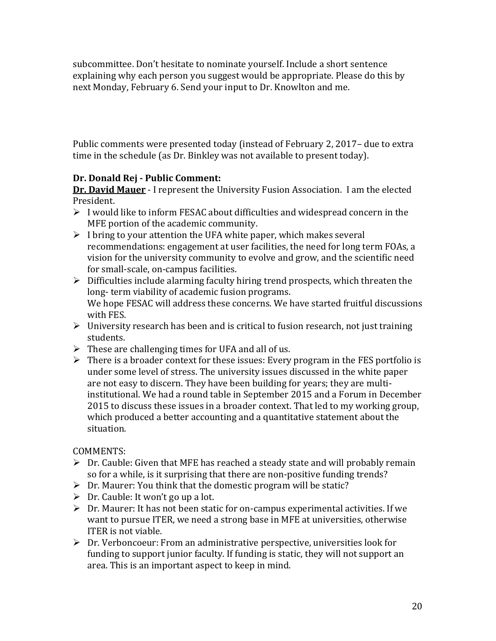subcommittee. Don't hesitate to nominate yourself. Include a short sentence explaining why each person you suggest would be appropriate. Please do this by next Monday, February 6. Send your input to Dr. Knowlton and me.

Public comments were presented today (instead of February 2, 2017– due to extra time in the schedule (as Dr. Binkley was not available to present today).

# **Dr. Donald Rej - Public Comment:**

**Dr. David Mauer** - I represent the University Fusion Association. I am the elected President.

- $\triangleright$  I would like to inform FESAC about difficulties and widespread concern in the MFE portion of the academic community.
- $\triangleright$  I bring to your attention the UFA white paper, which makes several recommendations: engagement at user facilities, the need for long term FOAs, a vision for the university community to evolve and grow, and the scientific need for small-scale, on-campus facilities.
- $\triangleright$  Difficulties include alarming faculty hiring trend prospects, which threaten the long- term viability of academic fusion programs. We hope FESAC will address these concerns. We have started fruitful discussions with FES.
- $\triangleright$  University research has been and is critical to fusion research, not just training students.
- $\triangleright$  These are challenging times for UFA and all of us.
- $\triangleright$  There is a broader context for these issues: Every program in the FES portfolio is under some level of stress. The university issues discussed in the white paper are not easy to discern. They have been building for years; they are multiinstitutional. We had a round table in September 2015 and a Forum in December 2015 to discuss these issues in a broader context. That led to my working group, which produced a better accounting and a quantitative statement about the situation.

COMMENTS:

- $\triangleright$  Dr. Cauble: Given that MFE has reached a steady state and will probably remain so for a while, is it surprising that there are non-positive funding trends?
- $\triangleright$  Dr. Maurer: You think that the domestic program will be static?
- $\triangleright$  Dr. Cauble: It won't go up a lot.
- $\triangleright$  Dr. Maurer: It has not been static for on-campus experimental activities. If we want to pursue ITER, we need a strong base in MFE at universities, otherwise ITER is not viable.
- Dr. Verboncoeur: From an administrative perspective, universities look for funding to support junior faculty. If funding is static, they will not support an area. This is an important aspect to keep in mind.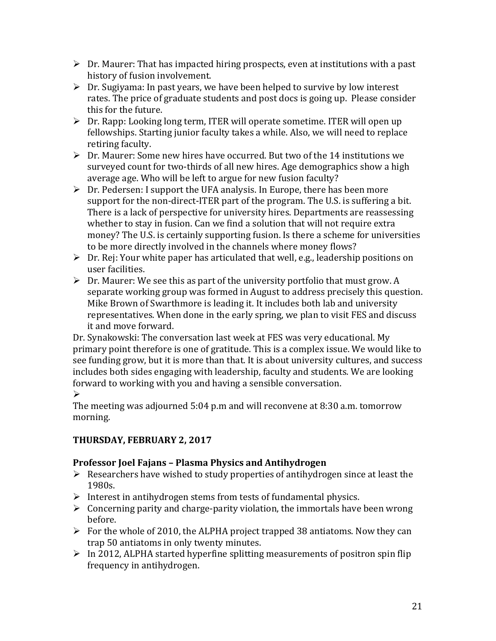- $\triangleright$  Dr. Maurer: That has impacted hiring prospects, even at institutions with a past history of fusion involvement.
- $\triangleright$  Dr. Sugiyama: In past years, we have been helped to survive by low interest rates. The price of graduate students and post docs is going up. Please consider this for the future.
- $\triangleright$  Dr. Rapp: Looking long term, ITER will operate sometime. ITER will open up fellowships. Starting junior faculty takes a while. Also, we will need to replace retiring faculty.
- Dr. Maurer: Some new hires have occurred. But two of the 14 institutions we surveyed count for two-thirds of all new hires. Age demographics show a high average age. Who will be left to argue for new fusion faculty?
- $\triangleright$  Dr. Pedersen: I support the UFA analysis. In Europe, there has been more support for the non-direct-ITER part of the program. The U.S. is suffering a bit. There is a lack of perspective for university hires. Departments are reassessing whether to stay in fusion. Can we find a solution that will not require extra money? The U.S. is certainly supporting fusion. Is there a scheme for universities to be more directly involved in the channels where money flows?
- $\triangleright$  Dr. Rej: Your white paper has articulated that well, e.g., leadership positions on user facilities.
- $\triangleright$  Dr. Maurer: We see this as part of the university portfolio that must grow. A separate working group was formed in August to address precisely this question. Mike Brown of Swarthmore is leading it. It includes both lab and university representatives. When done in the early spring, we plan to visit FES and discuss it and move forward.

Dr. Synakowski: The conversation last week at FES was very educational. My primary point therefore is one of gratitude. This is a complex issue. We would like to see funding grow, but it is more than that. It is about university cultures, and success includes both sides engaging with leadership, faculty and students. We are looking forward to working with you and having a sensible conversation.

# $\blacktriangleright$

The meeting was adjourned 5:04 p.m and will reconvene at 8:30 a.m. tomorrow morning.

# **THURSDAY, FEBRUARY 2, 2017**

# **Professor Joel Fajans – Plasma Physics and Antihydrogen**

- $\triangleright$  Researchers have wished to study properties of antihydrogen since at least the 1980s.
- $\triangleright$  Interest in antihydrogen stems from tests of fundamental physics.
- $\triangleright$  Concerning parity and charge-parity violation, the immortals have been wrong before.
- $\triangleright$  For the whole of 2010, the ALPHA project trapped 38 antiatoms. Now they can trap 50 antiatoms in only twenty minutes.
- $\triangleright$  In 2012, ALPHA started hyperfine splitting measurements of positron spin flip frequency in antihydrogen.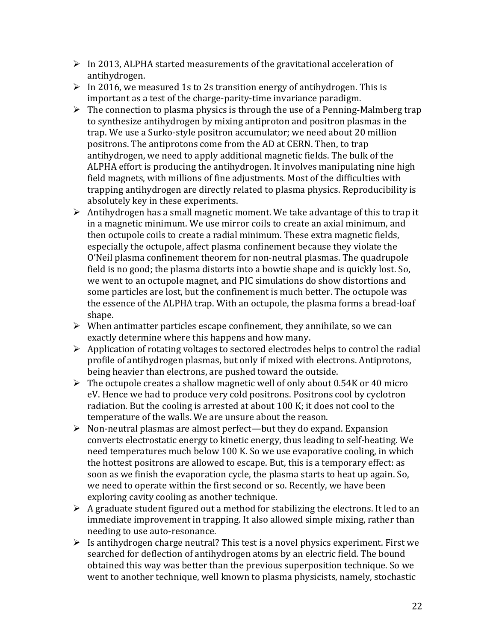- $\triangleright$  In 2013, ALPHA started measurements of the gravitational acceleration of antihydrogen.
- $\triangleright$  In 2016, we measured 1s to 2s transition energy of antihydrogen. This is important as a test of the charge-parity-time invariance paradigm.
- $\triangleright$  The connection to plasma physics is through the use of a Penning-Malmberg trap to synthesize antihydrogen by mixing antiproton and positron plasmas in the trap. We use a Surko-style positron accumulator; we need about 20 million positrons. The antiprotons come from the AD at CERN. Then, to trap antihydrogen, we need to apply additional magnetic fields. The bulk of the ALPHA effort is producing the antihydrogen. It involves manipulating nine high field magnets, with millions of fine adjustments. Most of the difficulties with trapping antihydrogen are directly related to plasma physics. Reproducibility is absolutely key in these experiments.
- $\triangleright$  Antihydrogen has a small magnetic moment. We take advantage of this to trap it in a magnetic minimum. We use mirror coils to create an axial minimum, and then octupole coils to create a radial minimum. These extra magnetic fields, especially the octupole, affect plasma confinement because they violate the O'Neil plasma confinement theorem for non-neutral plasmas. The quadrupole field is no good; the plasma distorts into a bowtie shape and is quickly lost. So, we went to an octupole magnet, and PIC simulations do show distortions and some particles are lost, but the confinement is much better. The octupole was the essence of the ALPHA trap. With an octupole, the plasma forms a bread-loaf shape.
- $\triangleright$  When antimatter particles escape confinement, they annihilate, so we can exactly determine where this happens and how many.
- $\triangleright$  Application of rotating voltages to sectored electrodes helps to control the radial profile of antihydrogen plasmas, but only if mixed with electrons. Antiprotons, being heavier than electrons, are pushed toward the outside.
- $\triangleright$  The octupole creates a shallow magnetic well of only about 0.54K or 40 micro eV. Hence we had to produce very cold positrons. Positrons cool by cyclotron radiation. But the cooling is arrested at about 100 K; it does not cool to the temperature of the walls. We are unsure about the reason.
- $\triangleright$  Non-neutral plasmas are almost perfect—but they do expand. Expansion converts electrostatic energy to kinetic energy, thus leading to self-heating. We need temperatures much below 100 K. So we use evaporative cooling, in which the hottest positrons are allowed to escape. But, this is a temporary effect: as soon as we finish the evaporation cycle, the plasma starts to heat up again. So, we need to operate within the first second or so. Recently, we have been exploring cavity cooling as another technique.
- $\triangleright$  A graduate student figured out a method for stabilizing the electrons. It led to an immediate improvement in trapping. It also allowed simple mixing, rather than needing to use auto-resonance.
- $\triangleright$  Is antihydrogen charge neutral? This test is a novel physics experiment. First we searched for deflection of antihydrogen atoms by an electric field. The bound obtained this way was better than the previous superposition technique. So we went to another technique, well known to plasma physicists, namely, stochastic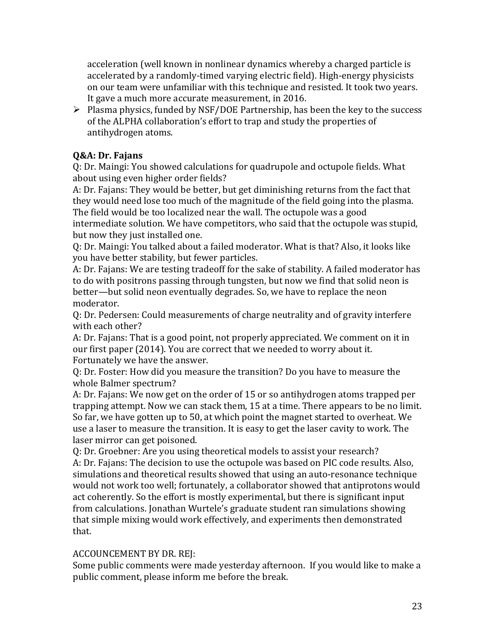acceleration (well known in nonlinear dynamics whereby a charged particle is accelerated by a randomly-timed varying electric field). High-energy physicists on our team were unfamiliar with this technique and resisted. It took two years. It gave a much more accurate measurement, in 2016.

 $\triangleright$  Plasma physics, funded by NSF/DOE Partnership, has been the key to the success of the ALPHA collaboration's effort to trap and study the properties of antihydrogen atoms.

# **Q&A: Dr. Fajans**

Q: Dr. Maingi: You showed calculations for quadrupole and octupole fields. What about using even higher order fields?

A: Dr. Fajans: They would be better, but get diminishing returns from the fact that they would need lose too much of the magnitude of the field going into the plasma. The field would be too localized near the wall. The octupole was a good intermediate solution. We have competitors, who said that the octupole was stupid,

but now they just installed one.

Q: Dr. Maingi: You talked about a failed moderator. What is that? Also, it looks like you have better stability, but fewer particles.

A: Dr. Fajans: We are testing tradeoff for the sake of stability. A failed moderator has to do with positrons passing through tungsten, but now we find that solid neon is better—but solid neon eventually degrades. So, we have to replace the neon moderator.

Q: Dr. Pedersen: Could measurements of charge neutrality and of gravity interfere with each other?

A: Dr. Fajans: That is a good point, not properly appreciated. We comment on it in our first paper (2014). You are correct that we needed to worry about it. Fortunately we have the answer.

Q: Dr. Foster: How did you measure the transition? Do you have to measure the whole Balmer spectrum?

A: Dr. Fajans: We now get on the order of 15 or so antihydrogen atoms trapped per trapping attempt. Now we can stack them, 15 at a time. There appears to be no limit. So far, we have gotten up to 50, at which point the magnet started to overheat. We use a laser to measure the transition. It is easy to get the laser cavity to work. The laser mirror can get poisoned.

Q: Dr. Groebner: Are you using theoretical models to assist your research? A: Dr. Fajans: The decision to use the octupole was based on PIC code results. Also, simulations and theoretical results showed that using an auto-resonance technique would not work too well; fortunately, a collaborator showed that antiprotons would act coherently. So the effort is mostly experimental, but there is significant input from calculations. Jonathan Wurtele's graduate student ran simulations showing that simple mixing would work effectively, and experiments then demonstrated that.

### ACCOUNCEMENT BY DR. REJ:

Some public comments were made yesterday afternoon. If you would like to make a public comment, please inform me before the break.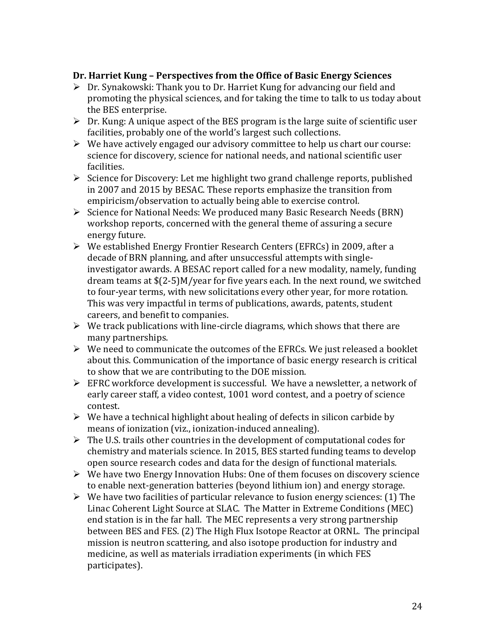### **Dr. Harriet Kung – Perspectives from the Office of Basic Energy Sciences**

- $\triangleright$  Dr. Synakowski: Thank you to Dr. Harriet Kung for advancing our field and promoting the physical sciences, and for taking the time to talk to us today about the BES enterprise.
- $\triangleright$  Dr. Kung: A unique aspect of the BES program is the large suite of scientific user facilities, probably one of the world's largest such collections.
- $\triangleright$  We have actively engaged our advisory committee to help us chart our course: science for discovery, science for national needs, and national scientific user facilities.
- $\triangleright$  Science for Discovery: Let me highlight two grand challenge reports, published in 2007 and 2015 by BESAC. These reports emphasize the transition from empiricism/observation to actually being able to exercise control.
- Science for National Needs: We produced many Basic Research Needs (BRN) workshop reports, concerned with the general theme of assuring a secure energy future.
- We established Energy Frontier Research Centers (EFRCs) in 2009, after a decade of BRN planning, and after unsuccessful attempts with singleinvestigator awards. A BESAC report called for a new modality, namely, funding dream teams at \$(2-5)M/year for five years each. In the next round, we switched to four-year terms, with new solicitations every other year, for more rotation. This was very impactful in terms of publications, awards, patents, student careers, and benefit to companies.
- $\triangleright$  We track publications with line-circle diagrams, which shows that there are many partnerships.
- $\triangleright$  We need to communicate the outcomes of the EFRCs. We just released a booklet about this. Communication of the importance of basic energy research is critical to show that we are contributing to the DOE mission.
- EFRC workforce development is successful. We have a newsletter, a network of early career staff, a video contest, 1001 word contest, and a poetry of science contest.
- $\triangleright$  We have a technical highlight about healing of defects in silicon carbide by means of ionization (viz., ionization-induced annealing).
- $\triangleright$  The U.S. trails other countries in the development of computational codes for chemistry and materials science. In 2015, BES started funding teams to develop open source research codes and data for the design of functional materials.
- $\triangleright$  We have two Energy Innovation Hubs: One of them focuses on discovery science to enable next-generation batteries (beyond lithium ion) and energy storage.
- $\triangleright$  We have two facilities of particular relevance to fusion energy sciences: (1) The Linac Coherent Light Source at SLAC. The Matter in Extreme Conditions (MEC) end station is in the far hall. The MEC represents a very strong partnership between BES and FES. (2) The High Flux Isotope Reactor at ORNL. The principal mission is neutron scattering, and also isotope production for industry and medicine, as well as materials irradiation experiments (in which FES participates).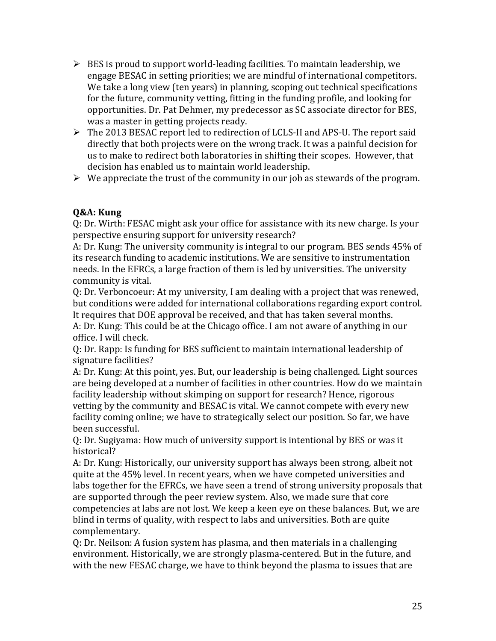- $\triangleright$  BES is proud to support world-leading facilities. To maintain leadership, we engage BESAC in setting priorities; we are mindful of international competitors. We take a long view (ten years) in planning, scoping out technical specifications for the future, community vetting, fitting in the funding profile, and looking for opportunities. Dr. Pat Dehmer, my predecessor as SC associate director for BES, was a master in getting projects ready.
- The 2013 BESAC report led to redirection of LCLS-II and APS-U. The report said directly that both projects were on the wrong track. It was a painful decision for us to make to redirect both laboratories in shifting their scopes. However, that decision has enabled us to maintain world leadership.
- $\triangleright$  We appreciate the trust of the community in our job as stewards of the program.

# **Q&A: Kung**

Q: Dr. Wirth: FESAC might ask your office for assistance with its new charge. Is your perspective ensuring support for university research?

A: Dr. Kung: The university community is integral to our program. BES sends 45% of its research funding to academic institutions. We are sensitive to instrumentation needs. In the EFRCs, a large fraction of them is led by universities. The university community is vital.

Q: Dr. Verboncoeur: At my university, I am dealing with a project that was renewed, but conditions were added for international collaborations regarding export control. It requires that DOE approval be received, and that has taken several months.

A: Dr. Kung: This could be at the Chicago office. I am not aware of anything in our office. I will check.

Q: Dr. Rapp: Is funding for BES sufficient to maintain international leadership of signature facilities?

A: Dr. Kung: At this point, yes. But, our leadership is being challenged. Light sources are being developed at a number of facilities in other countries. How do we maintain facility leadership without skimping on support for research? Hence, rigorous vetting by the community and BESAC is vital. We cannot compete with every new facility coming online; we have to strategically select our position. So far, we have been successful.

Q: Dr. Sugiyama: How much of university support is intentional by BES or was it historical?

A: Dr. Kung: Historically, our university support has always been strong, albeit not quite at the 45% level. In recent years, when we have competed universities and labs together for the EFRCs, we have seen a trend of strong university proposals that are supported through the peer review system. Also, we made sure that core competencies at labs are not lost. We keep a keen eye on these balances. But, we are blind in terms of quality, with respect to labs and universities. Both are quite complementary.

Q: Dr. Neilson: A fusion system has plasma, and then materials in a challenging environment. Historically, we are strongly plasma-centered. But in the future, and with the new FESAC charge, we have to think beyond the plasma to issues that are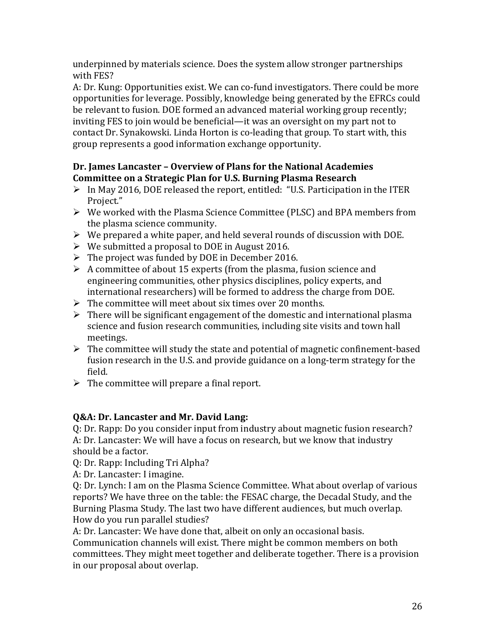underpinned by materials science. Does the system allow stronger partnerships with FES?

A: Dr. Kung: Opportunities exist. We can co-fund investigators. There could be more opportunities for leverage. Possibly, knowledge being generated by the EFRCs could be relevant to fusion. DOE formed an advanced material working group recently; inviting FES to join would be beneficial—it was an oversight on my part not to contact Dr. Synakowski. Linda Horton is co-leading that group. To start with, this group represents a good information exchange opportunity.

# **Dr. James Lancaster – Overview of Plans for the National Academies Committee on a Strategic Plan for U.S. Burning Plasma Research**

- $\triangleright$  In May 2016, DOE released the report, entitled: "U.S. Participation in the ITER Project."
- $\triangleright$  We worked with the Plasma Science Committee (PLSC) and BPA members from the plasma science community.
- $\triangleright$  We prepared a white paper, and held several rounds of discussion with DOE.
- $\triangleright$  We submitted a proposal to DOE in August 2016.
- $\triangleright$  The project was funded by DOE in December 2016.
- $\triangleright$  A committee of about 15 experts (from the plasma, fusion science and engineering communities, other physics disciplines, policy experts, and international researchers) will be formed to address the charge from DOE.
- $\triangleright$  The committee will meet about six times over 20 months.
- $\triangleright$  There will be significant engagement of the domestic and international plasma science and fusion research communities, including site visits and town hall meetings.
- $\triangleright$  The committee will study the state and potential of magnetic confinement-based fusion research in the U.S. and provide guidance on a long-term strategy for the field.
- $\triangleright$  The committee will prepare a final report.

# **Q&A: Dr. Lancaster and Mr. David Lang:**

Q: Dr. Rapp: Do you consider input from industry about magnetic fusion research? A: Dr. Lancaster: We will have a focus on research, but we know that industry should be a factor.

Q: Dr. Rapp: Including Tri Alpha?

A: Dr. Lancaster: I imagine.

Q: Dr. Lynch: I am on the Plasma Science Committee. What about overlap of various reports? We have three on the table: the FESAC charge, the Decadal Study, and the Burning Plasma Study. The last two have different audiences, but much overlap. How do you run parallel studies?

A: Dr. Lancaster: We have done that, albeit on only an occasional basis.

Communication channels will exist. There might be common members on both committees. They might meet together and deliberate together. There is a provision in our proposal about overlap.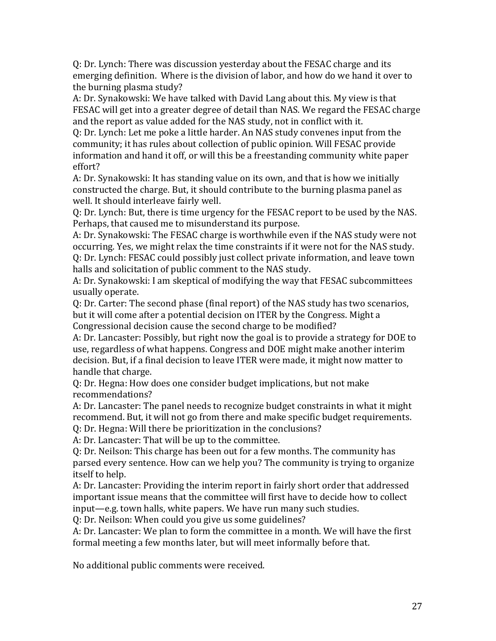Q: Dr. Lynch: There was discussion yesterday about the FESAC charge and its emerging definition. Where is the division of labor, and how do we hand it over to the burning plasma study?

A: Dr. Synakowski: We have talked with David Lang about this. My view is that FESAC will get into a greater degree of detail than NAS. We regard the FESAC charge and the report as value added for the NAS study, not in conflict with it.

Q: Dr. Lynch: Let me poke a little harder. An NAS study convenes input from the community; it has rules about collection of public opinion. Will FESAC provide information and hand it off, or will this be a freestanding community white paper effort?

A: Dr. Synakowski: It has standing value on its own, and that is how we initially constructed the charge. But, it should contribute to the burning plasma panel as well. It should interleave fairly well.

Q: Dr. Lynch: But, there is time urgency for the FESAC report to be used by the NAS. Perhaps, that caused me to misunderstand its purpose.

A: Dr. Synakowski: The FESAC charge is worthwhile even if the NAS study were not occurring. Yes, we might relax the time constraints if it were not for the NAS study. Q: Dr. Lynch: FESAC could possibly just collect private information, and leave town halls and solicitation of public comment to the NAS study.

A: Dr. Synakowski: I am skeptical of modifying the way that FESAC subcommittees usually operate.

Q: Dr. Carter: The second phase (final report) of the NAS study has two scenarios, but it will come after a potential decision on ITER by the Congress. Might a Congressional decision cause the second charge to be modified?

A: Dr. Lancaster: Possibly, but right now the goal is to provide a strategy for DOE to use, regardless of what happens. Congress and DOE might make another interim decision. But, if a final decision to leave ITER were made, it might now matter to handle that charge.

Q: Dr. Hegna: How does one consider budget implications, but not make recommendations?

A: Dr. Lancaster: The panel needs to recognize budget constraints in what it might recommend. But, it will not go from there and make specific budget requirements.

Q: Dr. Hegna: Will there be prioritization in the conclusions?

A: Dr. Lancaster: That will be up to the committee.

Q: Dr. Neilson: This charge has been out for a few months. The community has parsed every sentence. How can we help you? The community is trying to organize itself to help.

A: Dr. Lancaster: Providing the interim report in fairly short order that addressed important issue means that the committee will first have to decide how to collect input—e.g. town halls, white papers. We have run many such studies.

Q: Dr. Neilson: When could you give us some guidelines?

A: Dr. Lancaster: We plan to form the committee in a month. We will have the first formal meeting a few months later, but will meet informally before that.

No additional public comments were received.